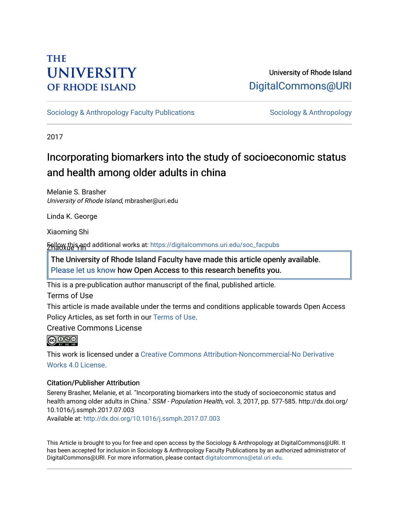# **THE UNIVERSITY OF RHODE ISLAND**

## University of Rhode Island [DigitalCommons@URI](https://digitalcommons.uri.edu/)

[Sociology & Anthropology Faculty Publications](https://digitalcommons.uri.edu/soc_facpubs) [Sociology & Anthropology](https://digitalcommons.uri.edu/soc) & Anthropology

2017

# Incorporating biomarkers into the study of socioeconomic status and health among older adults in china

Melanie S. Brasher University of Rhode Island, mbrasher@uri.edu

Linda K. George

Xiaoming Shi

Zhaoxue Yin Follow this and additional works at: [https://digitalcommons.uri.edu/soc\\_facpubs](https://digitalcommons.uri.edu/soc_facpubs?utm_source=digitalcommons.uri.edu%2Fsoc_facpubs%2F13&utm_medium=PDF&utm_campaign=PDFCoverPages) 

The University of Rhode Island Faculty have made this article openly available. [Please let us know](http://web.uri.edu/library-digital-initiatives/open-access-online-form/) how Open Access to this research benefits you.

This is a pre-publication author manuscript of the final, published article.

Terms of Use

This article is made available under the terms and conditions applicable towards Open Access Policy Articles, as set forth in our [Terms of Use](https://digitalcommons.uri.edu/soc_facpubs/oa_policy_terms.html).

Creative Commons License

## <u>@ 0®©</u>

This work is licensed under a [Creative Commons Attribution-Noncommercial-No Derivative](https://creativecommons.org/licenses/by-nc-nd/4.0/)  [Works 4.0 License](https://creativecommons.org/licenses/by-nc-nd/4.0/).

## Citation/Publisher Attribution

Sereny Brasher, Melanie, et al. "Incorporating biomarkers into the study of socioeconomic status and health among older adults in China." SSM - Population Health, vol. 3, 2017, pp. 577-585. http://dx.doi.org/ 10.1016/j.ssmph.2017.07.003

Available at:<http://dx.doi.org/10.1016/j.ssmph.2017.07.003>

This Article is brought to you for free and open access by the Sociology & Anthropology at DigitalCommons@URI. It has been accepted for inclusion in Sociology & Anthropology Faculty Publications by an authorized administrator of DigitalCommons@URI. For more information, please contact [digitalcommons@etal.uri.edu.](mailto:digitalcommons@etal.uri.edu)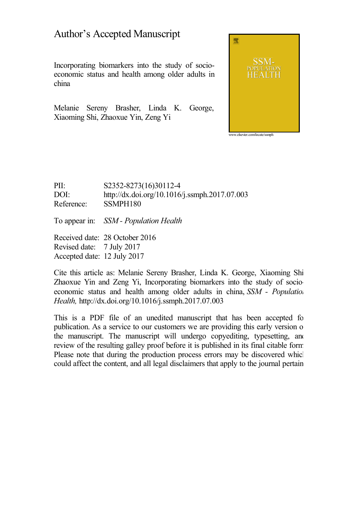# Author's Accepted Manuscript

Incorporating biomarkers into the study of socioeconomic status and health among older adults in china

Melanie Sereny Brasher, Linda K. George, Xiaoming Shi, Zhaoxue Yin, Zeng Yi



PII: S2352-8273(16)30112-4 DOI: <http://dx.doi.org/10.1016/j.ssmph.2017.07.003> Reference: SSMPH180

To appear in: *SSM - Population Health*

Received date: 28 October 2016 Revised date: 7 July 2017 Accepted date: 12 July 2017

Cite this article as: Melanie Sereny Brasher, Linda K. George, Xiaoming Shi, Zhaoxue Yin and Zeng Yi, Incorporating biomarkers into the study of socioeconomic status and health among older adults in china, *SSM - Population Health,* <http://dx.doi.org/10.1016/j.ssmph.2017.07.003>

This is a PDF file of an unedited manuscript that has been accepted for publication. As a service to our customers we are providing this early version of the manuscript. The manuscript will undergo copyediting, typesetting, and review of the resulting galley proof before it is published in its final citable form. Please note that during the production process errors may be discovered which could affect the content, and all legal disclaimers that apply to the journal pertain.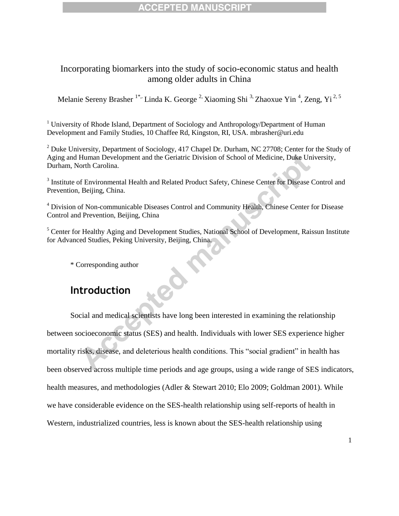## Incorporating biomarkers into the study of socio-economic status and health among older adults in China

Melanie Sereny Brasher <sup>1\*,.</sup> Linda K. George <sup>2,</sup> Xiaoming Shi <sup>3,</sup> Zhaoxue Yin <sup>4</sup>, Zeng, Yi <sup>2, 5</sup>

<sup>1</sup> University of Rhode Island, Department of Sociology and Anthropology/Department of Human Development and Family Studies, 10 Chaffee Rd, Kingston, RI, USA. mbrasher@uri.edu

 $2$  Duke University, Department of Sociology, 417 Chapel Dr. Durham, NC 27708; Center for the Study of Aging and Human Development and the Geriatric Division of School of Medicine, Duke University, Durham, North Carolina.

<sup>3</sup> Institute of Environmental Health and Related Product Safety, Chinese Center for Disease Control and Prevention, Beijing, China.

<sup>4</sup> Division of Non-communicable Diseases Control and Community Health, Chinese Center for Disease Control and Prevention, Beijing, China

<sup>5</sup> Center for Healthy Aging and Development Studies, National School of Development, Raissun Institute for Advanced Studies, Peking University, Beijing, China.

\* Corresponding author

## **Introduction**

Social and medical scientists have long been interested in examining the relationship between socioeconomic status (SES) and health. Individuals with lower SES experience higher mortality risks, disease, and deleterious health conditions. This "social gradient" in health has been observed across multiple time periods and age groups, using a wide range of SES indicators, health measures, and methodologies (Adler & Stewart 2010; Elo 2009; Goldman 2001). While we have considerable evidence on the SES-health relationship using self-reports of health in Western, industrialized countries, less is known about the SES-health relationship using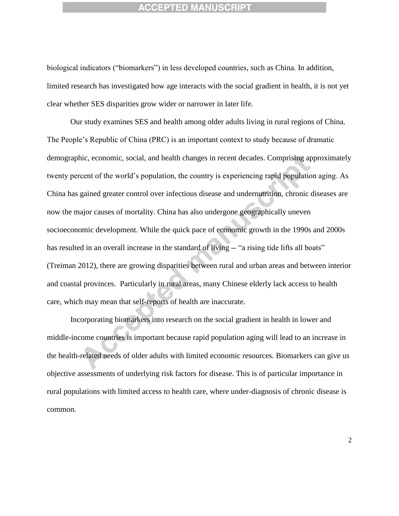biological indicators ("biomarkers") in less developed countries, such as China. In addition, limited research has investigated how age interacts with the social gradient in health, it is not yet clear whether SES disparities grow wider or narrower in later life.

Our study examines SES and health among older adults living in rural regions of China. The People's Republic of China (PRC) is an important context to study because of dramatic demographic, economic, social, and health changes in recent decades. Comprising approximately twenty percent of the world's population, the country is experiencing rapid population aging. As China has gained greater control over infectious disease and undernutrition, chronic diseases are now the major causes of mortality. China has also undergone geographically uneven socioeconomic development. While the quick pace of economic growth in the 1990s and 2000s has resulted in an overall increase in the standard of living -- "a rising tide lifts all boats" (Treiman 2012), there are growing disparities between rural and urban areas and between interior and coastal provinces. Particularly in rural areas, many Chinese elderly lack access to health care, which may mean that self-reports of health are inaccurate.

Incorporating biomarkers into research on the social gradient in health in lower and middle-income countries is important because rapid population aging will lead to an increase in the health-related needs of older adults with limited economic resources. Biomarkers can give us objective assessments of underlying risk factors for disease. This is of particular importance in rural populations with limited access to health care, where under-diagnosis of chronic disease is common.

2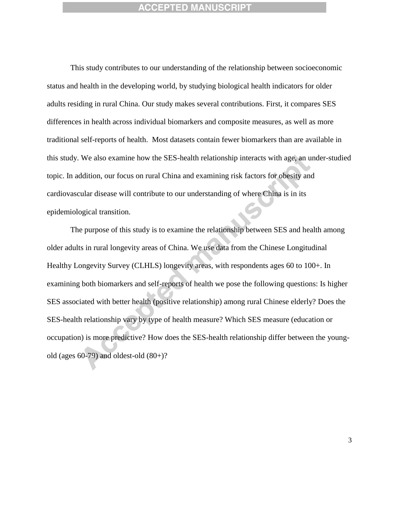This study contributes to our understanding of the relationship between socioeconomic status and health in the developing world, by studying biological health indicators for older adults residing in rural China. Our study makes several contributions. First, it compares SES differences in health across individual biomarkers and composite measures, as well as more traditional self-reports of health. Most datasets contain fewer biomarkers than are available in this study. We also examine how the SES-health relationship interacts with age, an under-studied topic. In addition, our focus on rural China and examining risk factors for obesity and cardiovascular disease will contribute to our understanding of where China is in its epidemiological transition.

The purpose of this study is to examine the relationship between SES and health among older adults in rural longevity areas of China. We use data from the Chinese Longitudinal Healthy Longevity Survey (CLHLS) longevity areas, with respondents ages 60 to 100+. In examining both biomarkers and self-reports of health we pose the following questions: Is higher SES associated with better health (positive relationship) among rural Chinese elderly? Does the SES-health relationship vary by type of health measure? Which SES measure (education or occupation) is more predictive? How does the SES-health relationship differ between the youngold (ages  $60-79$ ) and oldest-old  $(80+)$ ?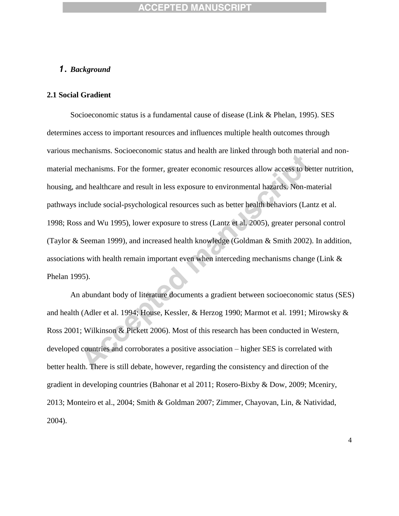#### *1. Background*

#### **2.1 Social Gradient**

Socioeconomic status is a fundamental cause of disease (Link & Phelan, 1995). SES determines access to important resources and influences multiple health outcomes through various mechanisms. Socioeconomic status and health are linked through both material and nonmaterial mechanisms. For the former, greater economic resources allow access to better nutrition, housing, and healthcare and result in less exposure to environmental hazards. Non-material pathways include social-psychological resources such as better health behaviors (Lantz et al. 1998; Ross and Wu 1995), lower exposure to stress (Lantz et al. 2005), greater personal control (Taylor & Seeman 1999), and increased health knowledge (Goldman & Smith 2002). In addition, associations with health remain important even when interceding mechanisms change (Link & Phelan 1995).

An abundant body of literature documents a gradient between socioeconomic status (SES) and health (Adler et al. 1994; House, Kessler, & Herzog 1990; Marmot et al. 1991; Mirowsky & Ross 2001; Wilkinson & Pickett 2006). Most of this research has been conducted in Western, developed countries and corroborates a positive association – higher SES is correlated with better health. There is still debate, however, regarding the consistency and direction of the gradient in developing countries (Bahonar et al 2011; Rosero-Bixby & Dow, 2009; Mceniry, 2013; Monteiro et al., 2004; Smith & Goldman 2007; Zimmer, Chayovan, Lin, & Natividad, 2004).

4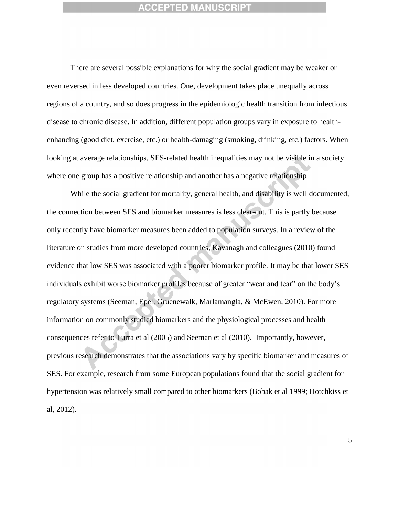There are several possible explanations for why the social gradient may be weaker or even reversed in less developed countries. One, development takes place unequally across regions of a country, and so does progress in the epidemiologic health transition from infectious disease to chronic disease. In addition, different population groups vary in exposure to healthenhancing (good diet, exercise, etc.) or health-damaging (smoking, drinking, etc.) factors. When looking at average relationships, SES-related health inequalities may not be visible in a society where one group has a positive relationship and another has a negative relationship

While the social gradient for mortality, general health, and disability is well documented, the connection between SES and biomarker measures is less clear-cut. This is partly because only recently have biomarker measures been added to population surveys. In a review of the literature on studies from more developed countries, Kavanagh and colleagues (2010) found evidence that low SES was associated with a poorer biomarker profile. It may be that lower SES individuals exhibit worse biomarker profiles because of greater "wear and tear" on the body's regulatory systems (Seeman, Epel, Gruenewalk, Marlamangla, & McEwen, 2010). For more information on commonly studied biomarkers and the physiological processes and health consequences refer to Turra et al (2005) and Seeman et al (2010). Importantly, however, previous research demonstrates that the associations vary by specific biomarker and measures of SES. For example, research from some European populations found that the social gradient for hypertension was relatively small compared to other biomarkers (Bobak et al 1999; Hotchkiss et al, 2012).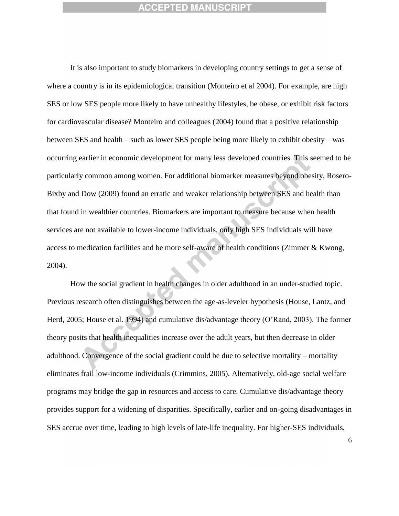It is also important to study biomarkers in developing country settings to get a sense of where a country is in its epidemiological transition (Monteiro et al 2004). For example, are high SES or low SES people more likely to have unhealthy lifestyles, be obese, or exhibit risk factors for cardiovascular disease? Monteiro and colleagues (2004) found that a positive relationship between SES and health – such as lower SES people being more likely to exhibit obesity – was occurring earlier in economic development for many less developed countries. This seemed to be particularly common among women. For additional biomarker measures beyond obesity, Rosero-Bixby and Dow (2009) found an erratic and weaker relationship between SES and health than that found in wealthier countries. Biomarkers are important to measure because when health services are not available to lower-income individuals, only high SES individuals will have access to medication facilities and be more self-aware of health conditions (Zimmer & Kwong, 2004).

How the social gradient in health changes in older adulthood in an under-studied topic. Previous research often distinguishes between the age-as-leveler hypothesis (House, Lantz, and Herd, 2005; House et al. 1994) and cumulative dis/advantage theory (O'Rand, 2003). The former theory posits that health inequalities increase over the adult years, but then decrease in older adulthood. Convergence of the social gradient could be due to selective mortality – mortality eliminates frail low-income individuals (Crimmins, 2005). Alternatively, old-age social welfare programs may bridge the gap in resources and access to care. Cumulative dis/advantage theory provides support for a widening of disparities. Specifically, earlier and on-going disadvantages in SES accrue over time, leading to high levels of late-life inequality. For higher-SES individuals,

6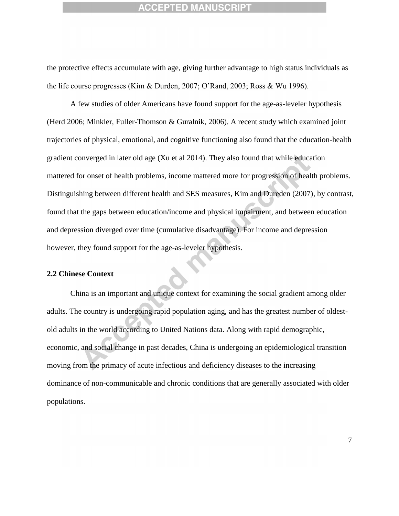the protective effects accumulate with age, giving further advantage to high status individuals as the life course progresses (Kim & Durden, 2007; O'Rand, 2003; Ross & Wu 1996).

A few studies of older Americans have found support for the age-as-leveler hypothesis (Herd 2006; Minkler, Fuller-Thomson & Guralnik, 2006). A recent study which examined joint trajectories of physical, emotional, and cognitive functioning also found that the education-health gradient converged in later old age (Xu et al 2014). They also found that while education mattered for onset of health problems, income mattered more for progression of health problems. Distinguishing between different health and SES measures, Kim and Dureden (2007), by contrast, found that the gaps between education/income and physical impairment, and between education and depression diverged over time (cumulative disadvantage). For income and depression however, they found support for the age-as-leveler hypothesis.

#### **2.2 Chinese Context**

China is an important and unique context for examining the social gradient among older adults. The country is undergoing rapid population aging, and has the greatest number of oldestold adults in the world according to United Nations data. Along with rapid demographic, economic, and social change in past decades, China is undergoing an epidemiological transition moving from the primacy of acute infectious and deficiency diseases to the increasing dominance of non-communicable and chronic conditions that are generally associated with older populations.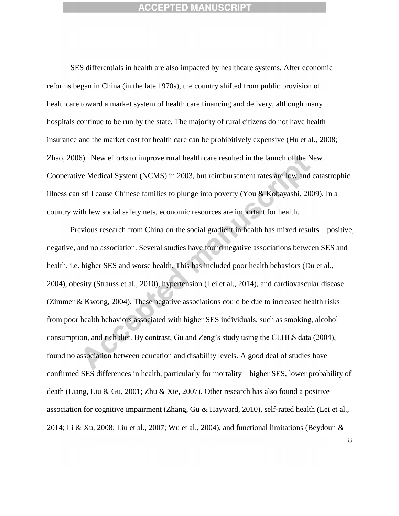SES differentials in health are also impacted by healthcare systems. After economic reforms began in China (in the late 1970s), the country shifted from public provision of healthcare toward a market system of health care financing and delivery, although many hospitals continue to be run by the state. The majority of rural citizens do not have health insurance and the market cost for health care can be prohibitively expensive (Hu et al., 2008; Zhao, 2006). New efforts to improve rural health care resulted in the launch of the New Cooperative Medical System (NCMS) in 2003, but reimbursement rates are low and catastrophic illness can still cause Chinese families to plunge into poverty (You & Kobayashi, 2009). In a country with few social safety nets, economic resources are important for health.

Previous research from China on the social gradient in health has mixed results – positive, negative, and no association. Several studies have found negative associations between SES and health, i.e. higher SES and worse health. This has included poor health behaviors (Du et al., 2004), obesity (Strauss et al., 2010), hypertension (Lei et al., 2014), and cardiovascular disease (Zimmer & Kwong, 2004). These negative associations could be due to increased health risks from poor health behaviors associated with higher SES individuals, such as smoking, alcohol consumption, and rich diet. By contrast, Gu and Zeng's study using the CLHLS data (2004), found no association between education and disability levels. A good deal of studies have confirmed SES differences in health, particularly for mortality – higher SES, lower probability of death (Liang, Liu & Gu, 2001; Zhu & Xie, 2007). Other research has also found a positive association for cognitive impairment (Zhang, Gu & Hayward, 2010), self-rated health (Lei et al., 2014; Li & Xu, 2008; Liu et al., 2007; Wu et al., 2004), and functional limitations (Beydoun &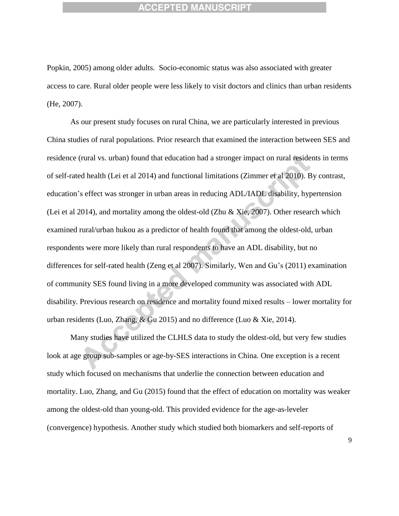Popkin, 2005) among older adults. Socio-economic status was also associated with greater access to care. Rural older people were less likely to visit doctors and clinics than urban residents (He, 2007).

As our present study focuses on rural China, we are particularly interested in previous China studies of rural populations. Prior research that examined the interaction between SES and residence (rural vs. urban) found that education had a stronger impact on rural residents in terms of self-rated health (Lei et al 2014) and functional limitations (Zimmer et al 2010). By contrast, education's effect was stronger in urban areas in reducing ADL/IADL disability, hypertension (Lei et al 2014), and mortality among the oldest-old (Zhu & Xie, 2007). Other research which examined rural/urban hukou as a predictor of health found that among the oldest-old, urban respondents were more likely than rural respondents to have an ADL disability, but no differences for self-rated health (Zeng et al 2007). Similarly, Wen and Gu's (2011) examination of community SES found living in a more developed community was associated with ADL disability. Previous research on residence and mortality found mixed results – lower mortality for urban residents (Luo, Zhang, & Gu 2015) and no difference (Luo & Xie, 2014).

Many studies have utilized the CLHLS data to study the oldest-old, but very few studies look at age group sub-samples or age-by-SES interactions in China. One exception is a recent study which focused on mechanisms that underlie the connection between education and mortality. Luo, Zhang, and Gu (2015) found that the effect of education on mortality was weaker among the oldest-old than young-old. This provided evidence for the age-as-leveler (convergence) hypothesis. Another study which studied both biomarkers and self-reports of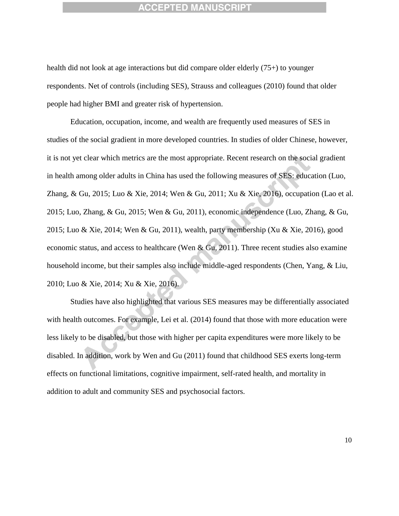health did not look at age interactions but did compare older elderly (75+) to younger respondents. Net of controls (including SES), Strauss and colleagues (2010) found that older people had higher BMI and greater risk of hypertension.

Education, occupation, income, and wealth are frequently used measures of SES in studies of the social gradient in more developed countries. In studies of older Chinese, however, it is not yet clear which metrics are the most appropriate. Recent research on the social gradient in health among older adults in China has used the following measures of SES: education (Luo, Zhang, & Gu, 2015; Luo & Xie, 2014; Wen & Gu, 2011; Xu & Xie, 2016), occupation (Lao et al. 2015; Luo, Zhang, & Gu, 2015; Wen & Gu, 2011), economic independence (Luo, Zhang, & Gu, 2015; Luo & Xie, 2014; Wen & Gu, 2011), wealth, party membership (Xu & Xie, 2016), good economic status, and access to healthcare (Wen & Gu, 2011). Three recent studies also examine household income, but their samples also include middle-aged respondents (Chen, Yang, & Liu, 2010; Luo & Xie, 2014; Xu & Xie, 2016).

Studies have also highlighted that various SES measures may be differentially associated with health outcomes. For example, Lei et al. (2014) found that those with more education were less likely to be disabled, but those with higher per capita expenditures were more likely to be disabled. In addition, work by Wen and Gu (2011) found that childhood SES exerts long-term effects on functional limitations, cognitive impairment, self-rated health, and mortality in addition to adult and community SES and psychosocial factors.

10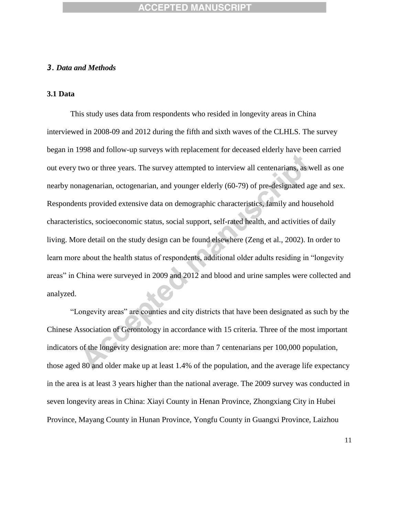#### *3. Data and Methods*

#### **3.1 Data**

This study uses data from respondents who resided in longevity areas in China interviewed in 2008-09 and 2012 during the fifth and sixth waves of the CLHLS. The survey began in 1998 and follow-up surveys with replacement for deceased elderly have been carried out every two or three years. The survey attempted to interview all centenarians, as well as one nearby nonagenarian, octogenarian, and younger elderly (60-79) of pre-designated age and sex. Respondents provided extensive data on demographic characteristics, family and household characteristics, socioeconomic status, social support, self-rated health, and activities of daily living. More detail on the study design can be found elsewhere (Zeng et al., 2002). In order to learn more about the health status of respondents, additional older adults residing in "longevity areas" in China were surveyed in 2009 and 2012 and blood and urine samples were collected and analyzed.

"Longevity areas" are counties and city districts that have been designated as such by the Chinese Association of Gerontology in accordance with 15 criteria. Three of the most important indicators of the longevity designation are: more than 7 centenarians per 100,000 population, those aged 80 and older make up at least 1.4% of the population, and the average life expectancy in the area is at least 3 years higher than the national average. The 2009 survey was conducted in seven longevity areas in China: Xiayi County in Henan Province, Zhongxiang City in Hubei Province, Mayang County in Hunan Province, Yongfu County in Guangxi Province, Laizhou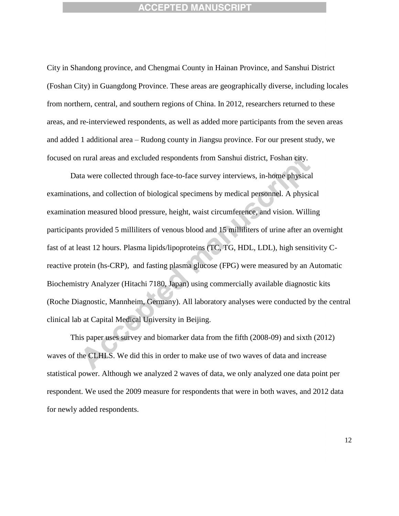City in Shandong province, and Chengmai County in Hainan Province, and Sanshui District (Foshan City) in Guangdong Province. These areas are geographically diverse, including locales from northern, central, and southern regions of China. In 2012, researchers returned to these areas, and re-interviewed respondents, as well as added more participants from the seven areas and added 1 additional area – Rudong county in Jiangsu province. For our present study, we focused on rural areas and excluded respondents from Sanshui district, Foshan city.

Data were collected through face-to-face survey interviews, in-home physical examinations, and collection of biological specimens by medical personnel. A physical examination measured blood pressure, height, waist circumference, and vision. Willing participants provided 5 milliliters of venous blood and 15 milliliters of urine after an overnight fast of at least 12 hours. Plasma lipids/lipoproteins (TC, TG, HDL, LDL), high sensitivity Creactive protein (hs-CRP), and fasting plasma glucose (FPG) were measured by an Automatic Biochemistry Analyzer (Hitachi 7180, Japan) using commercially available diagnostic kits (Roche Diagnostic, Mannheim, Germany). All laboratory analyses were conducted by the central clinical lab at Capital Medical University in Beijing.

This paper uses survey and biomarker data from the fifth (2008-09) and sixth (2012) waves of the CLHLS. We did this in order to make use of two waves of data and increase statistical power. Although we analyzed 2 waves of data, we only analyzed one data point per respondent. We used the 2009 measure for respondents that were in both waves, and 2012 data for newly added respondents.

12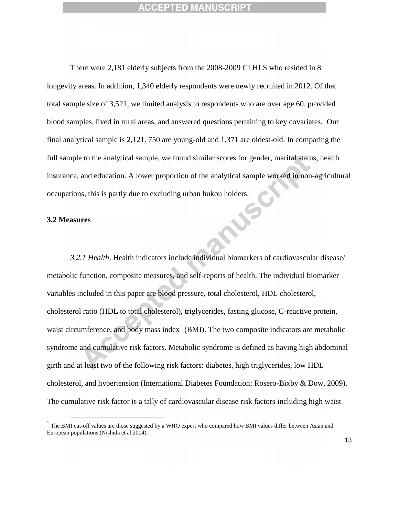There were 2,181 elderly subjects from the 2008-2009 CLHLS who resided in 8 longevity areas. In addition, 1,340 elderly respondents were newly recruited in 2012. Of that total sample size of 3,521, we limited analysis to respondents who are over age 60, provided blood samples, lived in rural areas, and answered questions pertaining to key covariates. Our final analytical sample is 2,121. 750 are young-old and 1,371 are oldest-old. In comparing the full sample to the analytical sample, we found similar scores for gender, marital status, health insurance, and education. A lower proportion of the analytical sample worked in non-agricultural occupations, this is partly due to excluding urban hukou holders.

NE

#### **3.2 Measures**

l

*3.2.1 Health*. Health indicators include individual biomarkers of cardiovascular disease/ metabolic function, composite measures, and self-reports of health. The individual biomarker variables included in this paper are blood pressure, total cholesterol, HDL cholesterol, cholesterol ratio (HDL to total cholesterol), triglycerides, fasting glucose, C-reactive protein, waist circumference, and body mass index<sup>1</sup> (BMI). The two composite indicators are metabolic syndrome and cumulative risk factors. Metabolic syndrome is defined as having high abdominal girth and at least two of the following risk factors: diabetes, high triglycerides, low HDL cholesterol, and hypertension (International Diabetes Foundation; Rosero-Bixby & Dow, 2009). The cumulative risk factor is a tally of cardiovascular disease risk factors including high waist

 $1$  The BMI cut-off values are those suggested by a WHO expert who compared how BMI values differ between Asian and European populations (Nishida et al 2004).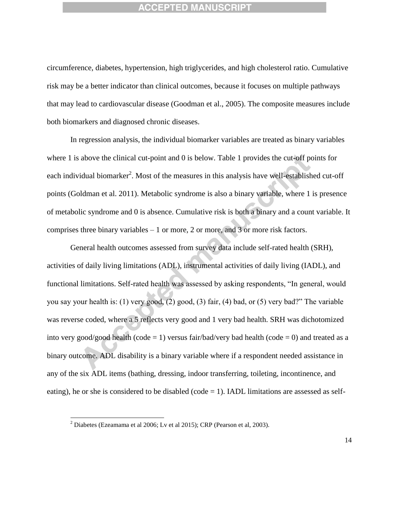circumference, diabetes, hypertension, high triglycerides, and high cholesterol ratio. Cumulative risk may be a better indicator than clinical outcomes, because it focuses on multiple pathways that may lead to cardiovascular disease (Goodman et al., 2005). The composite measures include both biomarkers and diagnosed chronic diseases.

In regression analysis, the individual biomarker variables are treated as binary variables where 1 is above the clinical cut-point and 0 is below. Table 1 provides the cut-off points for each individual biomarker<sup>2</sup>. Most of the measures in this analysis have well-established cut-off points (Goldman et al. 2011). Metabolic syndrome is also a binary variable, where 1 is presence of metabolic syndrome and 0 is absence. Cumulative risk is both a binary and a count variable. It comprises three binary variables – 1 or more, 2 or more, and 3 or more risk factors.

General health outcomes assessed from survey data include self-rated health (SRH), activities of daily living limitations (ADL), instrumental activities of daily living (IADL), and functional limitations. Self-rated health was assessed by asking respondents, "In general, would you say your health is: (1) very good, (2) good, (3) fair, (4) bad, or (5) very bad?" The variable was reverse coded, where a 5 reflects very good and 1 very bad health. SRH was dichotomized into very good/good health (code = 1) versus fair/bad/very bad health (code = 0) and treated as a binary outcome. ADL disability is a binary variable where if a respondent needed assistance in any of the six ADL items (bathing, dressing, indoor transferring, toileting, incontinence, and eating), he or she is considered to be disabled (code  $= 1$ ). IADL limitations are assessed as self-

l

 $^2$  Diabetes (Ezeamama et al 2006; Lv et al 2015); CRP (Pearson et al, 2003).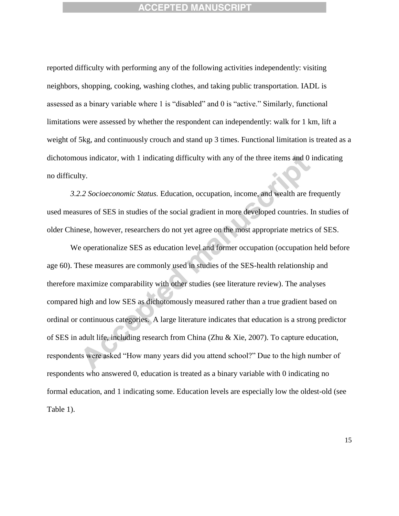reported difficulty with performing any of the following activities independently: visiting neighbors, shopping, cooking, washing clothes, and taking public transportation. IADL is assessed as a binary variable where 1 is "disabled" and 0 is "active." Similarly, functional limitations were assessed by whether the respondent can independently: walk for 1 km, lift a weight of 5kg, and continuously crouch and stand up 3 times. Functional limitation is treated as a dichotomous indicator, with 1 indicating difficulty with any of the three items and 0 indicating no difficulty.

*3.2.2 Socioeconomic Status.* Education, occupation, income, and wealth are frequently used measures of SES in studies of the social gradient in more developed countries. In studies of older Chinese, however, researchers do not yet agree on the most appropriate metrics of SES.

We operationalize SES as education level and former occupation (occupation held before age 60). These measures are commonly used in studies of the SES-health relationship and therefore maximize comparability with other studies (see literature review). The analyses compared high and low SES as dichotomously measured rather than a true gradient based on ordinal or continuous categories. A large literature indicates that education is a strong predictor of SES in adult life, including research from China (Zhu & Xie, 2007). To capture education, respondents were asked "How many years did you attend school?" Due to the high number of respondents who answered 0, education is treated as a binary variable with 0 indicating no formal education, and 1 indicating some. Education levels are especially low the oldest-old (see Table 1).

15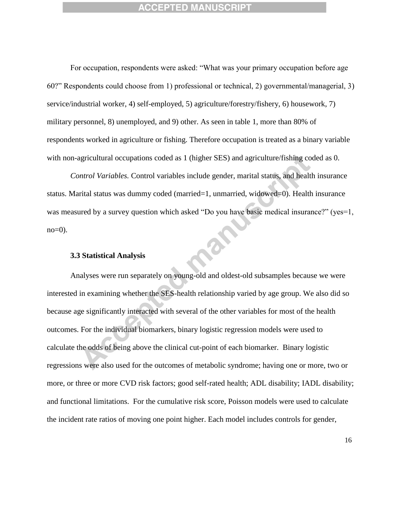For occupation, respondents were asked: "What was your primary occupation before age 60?" Respondents could choose from 1) professional or technical, 2) governmental/managerial, 3) service/industrial worker, 4) self-employed, 5) agriculture/forestry/fishery, 6) housework, 7) military personnel, 8) unemployed, and 9) other. As seen in table 1, more than 80% of respondents worked in agriculture or fishing. Therefore occupation is treated as a binary variable with non-agricultural occupations coded as 1 (higher SES) and agriculture/fishing coded as 0.

*Control Variables.* Control variables include gender, marital status, and health insurance status. Marital status was dummy coded (married=1, unmarried, widowed=0). Health insurance was measured by a survey question which asked "Do you have basic medical insurance?" (yes=1,  $no=0$ ).

#### **3.3 Statistical Analysis**

Analyses were run separately on young-old and oldest-old subsamples because we were interested in examining whether the SES-health relationship varied by age group. We also did so because age significantly interacted with several of the other variables for most of the health outcomes. For the individual biomarkers, binary logistic regression models were used to calculate the odds of being above the clinical cut-point of each biomarker. Binary logistic regressions were also used for the outcomes of metabolic syndrome; having one or more, two or more, or three or more CVD risk factors; good self-rated health; ADL disability; IADL disability; and functional limitations. For the cumulative risk score, Poisson models were used to calculate the incident rate ratios of moving one point higher. Each model includes controls for gender,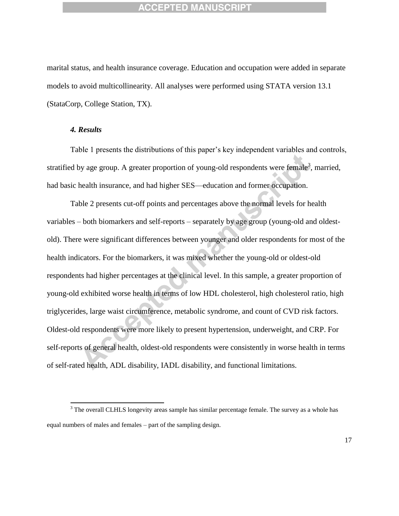marital status, and health insurance coverage. Education and occupation were added in separate models to avoid multicollinearity. All analyses were performed using STATA version 13.1 (StataCorp, College Station, TX).

#### *4. Results*

l

Table 1 presents the distributions of this paper's key independent variables and controls, stratified by age group. A greater proportion of young-old respondents were female<sup>3</sup>, married, had basic health insurance, and had higher SES—education and former occupation.

Table 2 presents cut-off points and percentages above the normal levels for health variables – both biomarkers and self-reports – separately by age group (young-old and oldestold). There were significant differences between younger and older respondents for most of the health indicators. For the biomarkers, it was mixed whether the young-old or oldest-old respondents had higher percentages at the clinical level. In this sample, a greater proportion of young-old exhibited worse health in terms of low HDL cholesterol, high cholesterol ratio, high triglycerides, large waist circumference, metabolic syndrome, and count of CVD risk factors. Oldest-old respondents were more likely to present hypertension, underweight, and CRP. For self-reports of general health, oldest-old respondents were consistently in worse health in terms of self-rated health, ADL disability, IADL disability, and functional limitations.

 $3$  The overall CLHLS longevity areas sample has similar percentage female. The survey as a whole has equal numbers of males and females – part of the sampling design.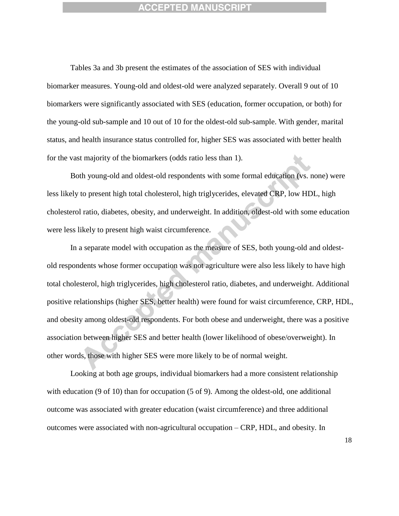Tables 3a and 3b present the estimates of the association of SES with individual biomarker measures. Young-old and oldest-old were analyzed separately. Overall 9 out of 10 biomarkers were significantly associated with SES (education, former occupation, or both) for the young-old sub-sample and 10 out of 10 for the oldest-old sub-sample. With gender, marital status, and health insurance status controlled for, higher SES was associated with better health for the vast majority of the biomarkers (odds ratio less than 1).

Both young-old and oldest-old respondents with some formal education (vs. none) were less likely to present high total cholesterol, high triglycerides, elevated CRP, low HDL, high cholesterol ratio, diabetes, obesity, and underweight. In addition, oldest-old with some education were less likely to present high waist circumference.

In a separate model with occupation as the measure of SES, both young-old and oldestold respondents whose former occupation was not agriculture were also less likely to have high total cholesterol, high triglycerides, high cholesterol ratio, diabetes, and underweight. Additional positive relationships (higher SES, better health) were found for waist circumference, CRP, HDL, and obesity among oldest-old respondents. For both obese and underweight, there was a positive association between higher SES and better health (lower likelihood of obese/overweight). In other words, those with higher SES were more likely to be of normal weight.

Looking at both age groups, individual biomarkers had a more consistent relationship with education (9 of 10) than for occupation (5 of 9). Among the oldest-old, one additional outcome was associated with greater education (waist circumference) and three additional outcomes were associated with non-agricultural occupation – CRP, HDL, and obesity. In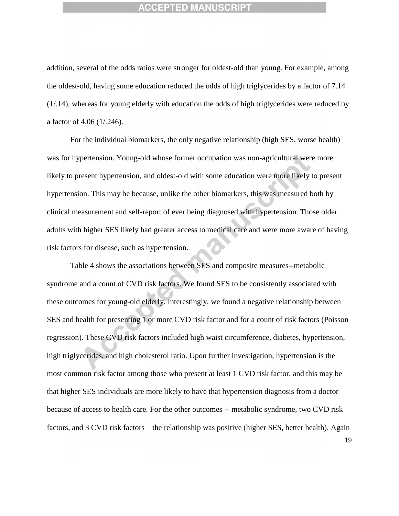addition, several of the odds ratios were stronger for oldest-old than young. For example, among the oldest-old, having some education reduced the odds of high triglycerides by a factor of 7.14 (1/.14), whereas for young elderly with education the odds of high triglycerides were reduced by a factor of 4.06 (1/.246).

For the individual biomarkers, the only negative relationship (high SES, worse health) was for hypertension. Young-old whose former occupation was non-agricultural were more likely to present hypertension, and oldest-old with some education were more likely to present hypertension. This may be because, unlike the other biomarkers, this was measured both by clinical measurement and self-report of ever being diagnosed with hypertension. Those older adults with higher SES likely had greater access to medical care and were more aware of having risk factors for disease, such as hypertension.

19 Table 4 shows the associations between SES and composite measures--metabolic syndrome and a count of CVD risk factors. We found SES to be consistently associated with these outcomes for young-old elderly. Interestingly, we found a negative relationship between SES and health for presenting 1 or more CVD risk factor and for a count of risk factors (Poisson regression). These CVD risk factors included high waist circumference, diabetes, hypertension, high triglycerides, and high cholesterol ratio. Upon further investigation, hypertension is the most common risk factor among those who present at least 1 CVD risk factor, and this may be that higher SES individuals are more likely to have that hypertension diagnosis from a doctor because of access to health care. For the other outcomes -- metabolic syndrome, two CVD risk factors, and 3 CVD risk factors – the relationship was positive (higher SES, better health). Again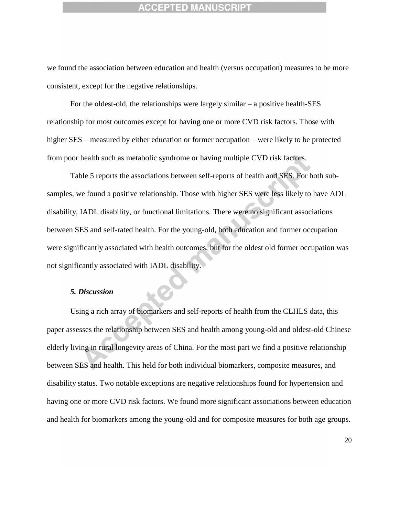we found the association between education and health (versus occupation) measures to be more consistent, except for the negative relationships.

For the oldest-old, the relationships were largely similar – a positive health-SES relationship for most outcomes except for having one or more CVD risk factors. Those with higher SES – measured by either education or former occupation – were likely to be protected from poor health such as metabolic syndrome or having multiple CVD risk factors.

Table 5 reports the associations between self-reports of health and SES. For both subsamples, we found a positive relationship. Those with higher SES were less likely to have ADL disability, IADL disability, or functional limitations. There were no significant associations between SES and self-rated health. For the young-old, both education and former occupation were significantly associated with health outcomes, but for the oldest old former occupation was not significantly associated with IADL disability.

#### *5. Discussion*

Using a rich array of biomarkers and self-reports of health from the CLHLS data, this paper assesses the relationship between SES and health among young-old and oldest-old Chinese elderly living in rural longevity areas of China. For the most part we find a positive relationship between SES and health. This held for both individual biomarkers, composite measures, and disability status. Two notable exceptions are negative relationships found for hypertension and having one or more CVD risk factors. We found more significant associations between education and health for biomarkers among the young-old and for composite measures for both age groups.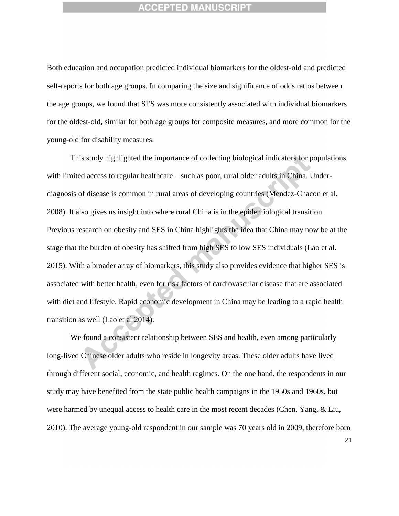Both education and occupation predicted individual biomarkers for the oldest-old and predicted self-reports for both age groups. In comparing the size and significance of odds ratios between the age groups, we found that SES was more consistently associated with individual biomarkers for the oldest-old, similar for both age groups for composite measures, and more common for the young-old for disability measures.

This study highlighted the importance of collecting biological indicators for populations with limited access to regular healthcare – such as poor, rural older adults in China. Underdiagnosis of disease is common in rural areas of developing countries (Mendez-Chacon et al, 2008). It also gives us insight into where rural China is in the epidemiological transition. Previous research on obesity and SES in China highlights the idea that China may now be at the stage that the burden of obesity has shifted from high SES to low SES individuals (Lao et al. 2015). With a broader array of biomarkers, this study also provides evidence that higher SES is associated with better health, even for risk factors of cardiovascular disease that are associated with diet and lifestyle. Rapid economic development in China may be leading to a rapid health transition as well (Lao et al 2014).

We found a consistent relationship between SES and health, even among particularly long-lived Chinese older adults who reside in longevity areas. These older adults have lived through different social, economic, and health regimes. On the one hand, the respondents in our study may have benefited from the state public health campaigns in the 1950s and 1960s, but were harmed by unequal access to health care in the most recent decades (Chen, Yang, & Liu, 2010). The average young-old respondent in our sample was 70 years old in 2009, therefore born

21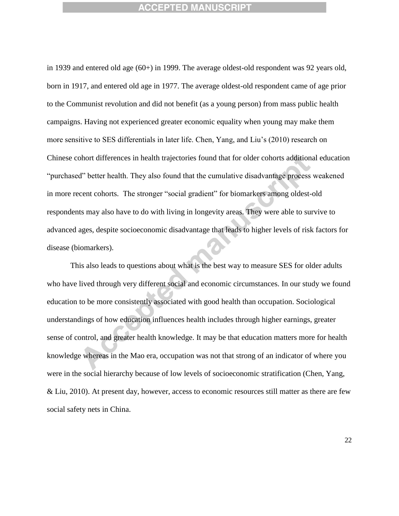in 1939 and entered old age (60+) in 1999. The average oldest-old respondent was 92 years old, born in 1917, and entered old age in 1977. The average oldest-old respondent came of age prior to the Communist revolution and did not benefit (as a young person) from mass public health campaigns. Having not experienced greater economic equality when young may make them more sensitive to SES differentials in later life. Chen, Yang, and Liu's (2010) research on Chinese cohort differences in health trajectories found that for older cohorts additional education "purchased" better health. They also found that the cumulative disadvantage process weakened in more recent cohorts. The stronger "social gradient" for biomarkers among oldest-old respondents may also have to do with living in longevity areas. They were able to survive to advanced ages, despite socioeconomic disadvantage that leads to higher levels of risk factors for disease (biomarkers).

This also leads to questions about what is the best way to measure SES for older adults who have lived through very different social and economic circumstances. In our study we found education to be more consistently associated with good health than occupation. Sociological understandings of how education influences health includes through higher earnings, greater sense of control, and greater health knowledge. It may be that education matters more for health knowledge whereas in the Mao era, occupation was not that strong of an indicator of where you were in the social hierarchy because of low levels of socioeconomic stratification (Chen, Yang, & Liu, 2010). At present day, however, access to economic resources still matter as there are few social safety nets in China.

22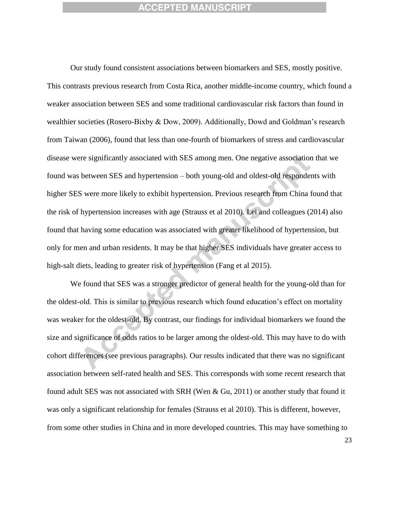Our study found consistent associations between biomarkers and SES, mostly positive. This contrasts previous research from Costa Rica, another middle-income country, which found a weaker association between SES and some traditional cardiovascular risk factors than found in wealthier societies (Rosero-Bixby & Dow, 2009). Additionally, Dowd and Goldman's research from Taiwan (2006), found that less than one-fourth of biomarkers of stress and cardiovascular disease were significantly associated with SES among men. One negative association that we found was between SES and hypertension – both young-old and oldest-old respondents with higher SES were more likely to exhibit hypertension. Previous research from China found that the risk of hypertension increases with age (Strauss et al 2010). Lei and colleagues (2014) also found that having some education was associated with greater likelihood of hypertension, but only for men and urban residents. It may be that higher SES individuals have greater access to high-salt diets, leading to greater risk of hypertension (Fang et al 2015).

We found that SES was a stronger predictor of general health for the young-old than for the oldest-old. This is similar to previous research which found education's effect on mortality was weaker for the oldest-old. By contrast, our findings for individual biomarkers we found the size and significance of odds ratios to be larger among the oldest-old. This may have to do with cohort differences (see previous paragraphs). Our results indicated that there was no significant association between self-rated health and SES. This corresponds with some recent research that found adult SES was not associated with SRH (Wen & Gu, 2011) or another study that found it was only a significant relationship for females (Strauss et al 2010). This is different, however, from some other studies in China and in more developed countries. This may have something to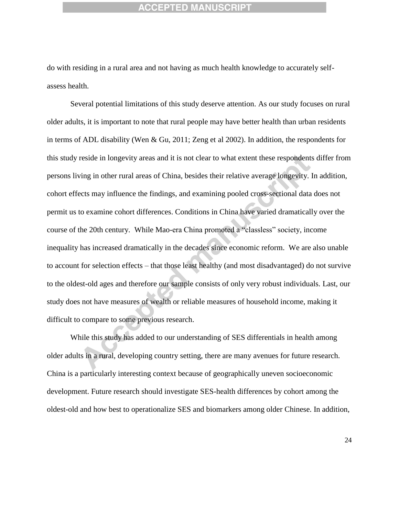do with residing in a rural area and not having as much health knowledge to accurately selfassess health.

Several potential limitations of this study deserve attention. As our study focuses on rural older adults, it is important to note that rural people may have better health than urban residents in terms of ADL disability (Wen & Gu, 2011; Zeng et al 2002). In addition, the respondents for this study reside in longevity areas and it is not clear to what extent these respondents differ from persons living in other rural areas of China, besides their relative average longevity. In addition, cohort effects may influence the findings, and examining pooled cross-sectional data does not permit us to examine cohort differences. Conditions in China have varied dramatically over the course of the 20th century. While Mao-era China promoted a "classless" society, income inequality has increased dramatically in the decades since economic reform. We are also unable to account for selection effects – that those least healthy (and most disadvantaged) do not survive to the oldest-old ages and therefore our sample consists of only very robust individuals. Last, our study does not have measures of wealth or reliable measures of household income, making it difficult to compare to some previous research.

While this study has added to our understanding of SES differentials in health among older adults in a rural, developing country setting, there are many avenues for future research. China is a particularly interesting context because of geographically uneven socioeconomic development. Future research should investigate SES-health differences by cohort among the oldest-old and how best to operationalize SES and biomarkers among older Chinese. In addition,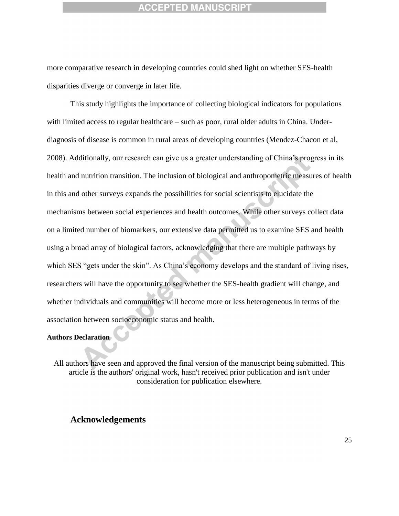more comparative research in developing countries could shed light on whether SES-health disparities diverge or converge in later life.

This study highlights the importance of collecting biological indicators for populations with limited access to regular healthcare – such as poor, rural older adults in China. Underdiagnosis of disease is common in rural areas of developing countries (Mendez-Chacon et al, 2008). Additionally, our research can give us a greater understanding of China's progress in its health and nutrition transition. The inclusion of biological and anthropometric measures of health in this and other surveys expands the possibilities for social scientists to elucidate the mechanisms between social experiences and health outcomes. While other surveys collect data on a limited number of biomarkers, our extensive data permitted us to examine SES and health using a broad array of biological factors, acknowledging that there are multiple pathways by which SES "gets under the skin". As China's economy develops and the standard of living rises, researchers will have the opportunity to see whether the SES-health gradient will change, and whether individuals and communities will become more or less heterogeneous in terms of the association between socioeconomic status and health.

#### **Authors Declaration**

All authors have seen and approved the final version of the manuscript being submitted. This article is the authors' original work, hasn't received prior publication and isn't under consideration for publication elsewhere.

## **Acknowledgements**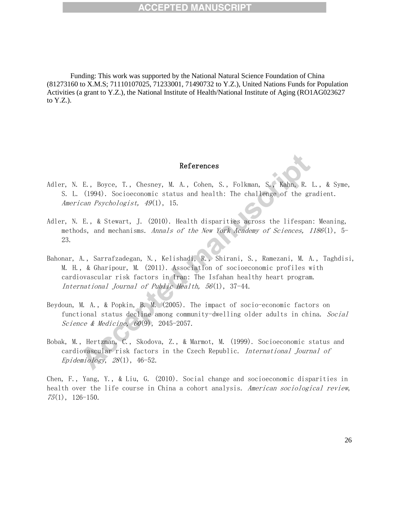#### **CCEPTED MANU**

Funding: This work was supported by the National Natural Science Foundation of China (81273160 to X.M.S; 71110107025, 71233001, 71490732 to Y.Z.), United Nations Funds for Population Activities (a grant to Y.Z.), the National Institute of Health/National Institute of Aging (RO1AG023627 to Y.Z.).

### References

- Adler, N. E., Boyce, T., Chesney, M. A., Cohen, S., Folkman, S., Kahn, R. L., & Syme, S. L. (1994). Socioeconomic status and health: The challenge of the gradient. American Psychologist, 49(1), 15.
- Adler, N. E., & Stewart, J. (2010). Health disparities across the lifespan: Meaning, methods, and mechanisms. Annals of the New York Academy of Sciences, 1186(1), 5-23.
- Bahonar, A., Sarrafzadegan, N., Kelishadi, R., Shirani, S., Ramezani, M. A., Taghdisi, M. H., & Gharipour, M. (2011). Association of socioeconomic profiles with cardiovascular risk factors in Iran: The Isfahan healthy heart program. International Journal of Public Health, 56(1), 37-44.
- Beydoun, M. A., & Popkin, B. M. (2005). The impact of socio-economic factors on functional status decline among community-dwelling older adults in china. Social Science & Medicine, 60(9), 2045-2057.
- Bobak, M., Hertzman, C., Skodova, Z., & Marmot, M. (1999). Socioeconomic status and cardiovascular risk factors in the Czech Republic. International Journal of Epidemiology,  $28(1)$ ,  $46-52$ .

Chen, F., Yang, Y., & Liu, G. (2010). Social change and socioeconomic disparities in health over the life course in China a cohort analysis. American sociological review,  $75(1)$ , 126-150.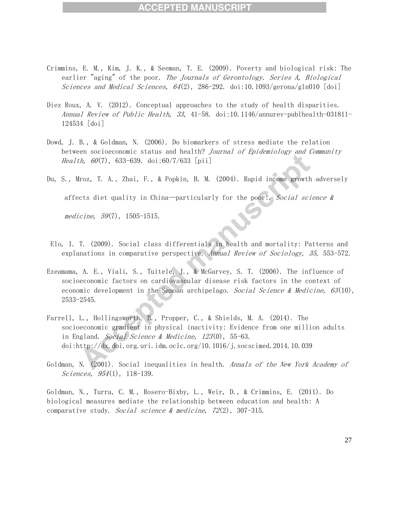- Crimmins, E. M., Kim, J. K., & Seeman, T. E. (2009). Poverty and biological risk: The earlier "aging" of the poor. The Journals of Gerontology. Series A, Biological Sciences and Medical Sciences,  $64(2)$ , 286-292. doi:10.1093/gerona/gln010 [doi]
- Diez Roux, A. V. (2012). Conceptual approaches to the study of health disparities. Annual Review of Public Health, 33, 41-58. doi:10.1146/annurev-publhealth-031811- 124534 [doi]
- Dowd, J. B., & Goldman, N. (2006). Do biomarkers of stress mediate the relation between socioeconomic status and health? Journal of Epidemiology and Community Health,  $60(7)$ , 633-639. doi: $60/7/633$  [pii]
- Du, S., Mroz, T. A., Zhai, F., & Popkin, B. M. (2004). Rapid income growth adversely affects diet quality in China—particularly for the poor!. Social science  $\&$ medicine,  $59(7)$ , 1505-1515.
- Elo, I. T. (2009). Social class differentials in health and mortality: Patterns and explanations in comparative perspective. Annual Review of Sociology, 35, 553-572.
- Ezeamama, A. E., Viali, S., Tuitele, J., & McGarvey, S. T. (2006). The influence of socioeconomic factors on cardiovascular disease risk factors in the context of economic development in the Samoan archipelago. Social Science & Medicine,  $63(10)$ , 2533-2545.
- Farrell, L., Hollingsworth, B., Propper, C., & Shields, M. A. (2014). The socioeconomic gradient in physical inactivity: Evidence from one million adults in England. Social Science & Medicine, 123(0), 55-63. doi:http://dx.doi.org.uri.idm.oclc.org/10.1016/j.socscimed.2014.10.039
- Goldman, N. (2001). Social inequalities in health. Annals of the New York Academy of Sciences, 954(1), 118-139.

Goldman, N., Turra, C. M., Rosero-Bixby, L., Weir, D., & Crimmins, E. (2011). Do biological measures mediate the relationship between education and health: A comparative study. Social science & medicine,  $72(2)$ ,  $307-315$ .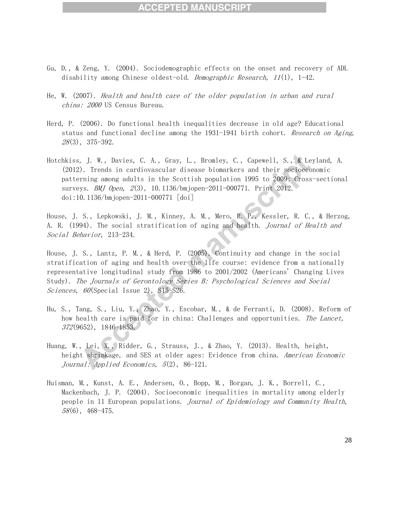- Gu, D., & Zeng, Y. (2004). Sociodemographic effects on the onset and recovery of ADL disability among Chinese oldest-old. Demographic Research,  $11(1)$ , 1-42.
- He, W. (2007). Health and health care of the older population in urban and rural china: 2000 US Census Bureau.
- Herd, P. (2006). Do functional health inequalities decrease in old age? Educational status and functional decline among the 1931-1941 birth cohort. Research on Aging, <sup>28</sup>(3), 375-392.
- Hotchkiss, J. W., Davies, C. A., Gray, L., Bromley, C., Capewell, S., & Leyland, A. (2012). Trends in cardiovascular disease biomarkers and their socioeconomic patterning among adults in the Scottish population 1995 to 2009: Cross-sectional surveys. BMJ Open, 2(3), 10.1136/bmjopen-2011-000771. Print 2012. doi:10.1136/bmjopen-2011-000771 [doi]

House, J. S., Lepkowski, J. M., Kinney, A. M., Mero, R. P., Kessler, R. C., & Herzog, A. R. (1994). The social stratification of aging and health. Journal of Health and Social Behavior, 213-234.

House, J. S., Lantz, P. M., & Herd, P. (2005). Continuity and change in the social stratification of aging and health over the life course: evidence from a nationally representative longitudinal study from 1986 to 2001/2002 (Americans' Changing Lives Study). The Journals of Gerontology Series B: Psychological Sciences and Social Sciences, 60(Special Issue 2), S15-S26.

- Hu, S., Tang, S., Liu, Y., Zhao, Y., Escobar, M., & de Ferranti, D. (2008). Reform of how health care is paid for in china: Challenges and opportunities. The Lancet, <sup>372</sup>(9652), 1846-1853.
- Huang, W., Lei, X., Ridder, G., Strauss, J., & Zhao, Y. (2013). Health, height, height shrinkage, and SES at older ages: Evidence from china. American Economic Journal: Applied Economics, 5(2), 86-121.
- Huisman, M., Kunst, A. E., Andersen, O., Bopp, M., Borgan, J. K., Borrell, C., Mackenbach, J. P. (2004). Socioeconomic inequalities in mortality among elderly people in 11 European populations. Journal of Epidemiology and Community Health,  $58(6)$ , 468-475.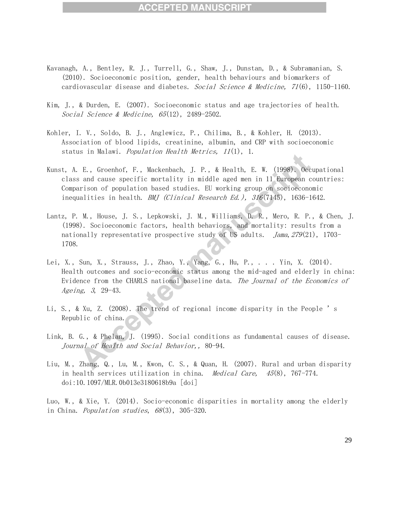- Kavanagh, A., Bentley, R. J., Turrell, G., Shaw, J., Dunstan, D., & Subramanian, S. (2010). Socioeconomic position, gender, health behaviours and biomarkers of cardiovascular disease and diabetes. Social Science & Medicine, 71(6), 1150-1160.
- Kim, J., & Durden, E. (2007). Socioeconomic status and age trajectories of health. Social Science & Medicine, 65(12), 2489-2502.
- Kohler, I. V., Soldo, B. J., Anglewicz, P., Chilima, B., & Kohler, H. (2013). Association of blood lipids, creatinine, albumin, and CRP with socioeconomic status in Malawi. Population Health Metrics, 11(1), 1.
- Kunst, A. E., Groenhof, F., Mackenbach, J. P., & Health, E. W. (1998). Occupational class and cause specific mortality in middle aged men in 11 European countries: Comparison of population based studies. EU working group on socioeconomic inequalities in health. BMJ (Clinical Research Ed.), 316(7145), 1636-1642.
- Lantz, P. M., House, J. S., Lepkowski, J. M., Williams, D. R., Mero, R. P., & Chen, J. (1998). Socioeconomic factors, health behaviors, and mortality: results from a nationally representative prospective study of US adults. *Jama, 279*(21), 1703-1708.
- Lei, X., Sun, X., Strauss, J., Zhao, Y., Yang, G., Hu, P., . . . Yin, X. (2014). Health outcomes and socio-economic status among the mid-aged and elderly in china: Evidence from the CHARLS national baseline data. The Journal of the Economics of Ageing, 3, 29-43.
- Li, S., & Xu, Z. (2008). The trend of regional income disparity in the People 's Republic of china.
- Link, B. G., & Phelan, J. (1995). Social conditions as fundamental causes of disease. Journal of Health and Social Behavior,, 80-94.
- Liu, M., Zhang, Q., Lu, M., Kwon, C. S., & Quan, H. (2007). Rural and urban disparity in health services utilization in china. *Medical Care, 45*(8), 767-774. doi:10.1097/MLR.0b013e3180618b9a [doi]

Luo, W., & Xie, Y. (2014). Socio-economic disparities in mortality among the elderly in China. Population studies, 68(3), 305-320.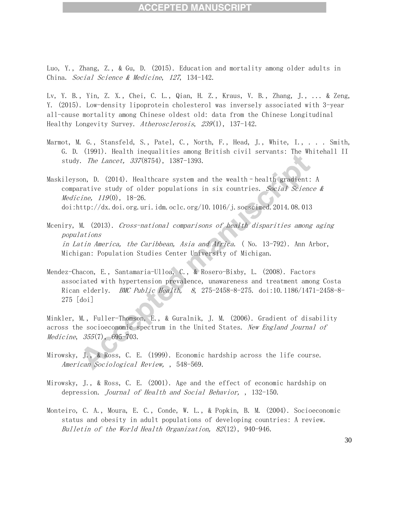Luo, Y., Zhang, Z., & Gu, D. (2015). Education and mortality among older adults in China. Social Science & Medicine, 127, 134-142.

Lv, Y. B., Yin, Z. X., Chei, C. L., Qian, H. Z., Kraus, V. B., Zhang, J., ... & Zeng, Y. (2015). Low-density lipoprotein cholesterol was inversely associated with 3-year all-cause mortality among Chinese oldest old: data from the Chinese Longitudinal Healthy Longevity Survey. Atherosclerosis, 239(1), 137-142.

- Marmot, M. G., Stansfeld, S., Patel, C., North, F., Head, J., White, I., . . . Smith, G. D. (1991). Health inequalities among British civil servants: The Whitehall II study. The Lancet, 337(8754), 1387-1393.
- Maskileyson, D. (2014). Healthcare system and the wealth–health gradient: A comparative study of older populations in six countries. Social Science & *Medicine,*  $119(0)$ *, 18-26.* doi:http://dx.doi.org.uri.idm.oclc.org/10.1016/j.socscimed.2014.08.013
- Mceniry, M. (2013). Cross-national comparisons of health disparities among aging populations in Latin America, the Caribbean, Asia and Africa. ( No. 13-792). Ann Arbor, Michigan: Population Studies Center University of Michigan.
- Mendez-Chacon, E., Santamaria-Ulloa, C., & Rosero-Bixby, L. (2008). Factors associated with hypertension prevalence, unawareness and treatment among Costa Rican elderly. BMC Public Health, <sup>8</sup>, 275-2458-8-275. doi:10.1186/1471-2458-8- 275 [doi]

Minkler, M., Fuller-Thomson, E., & Guralnik, J. M. (2006). Gradient of disability across the socioeconomic spectrum in the United States. New England Journal of Medicine, 355(7), 695-703.

- Mirowsky, J., & Ross, C. E. (1999). Economic hardship across the life course. American Sociological Review, , 548-569.
- Mirowsky, J., & Ross, C. E. (2001). Age and the effect of economic hardship on depression. Journal of Health and Social Behavior, , 132-150.
- Monteiro, C. A., Moura, E. C., Conde, W. L., & Popkin, B. M. (2004). Socioeconomic status and obesity in adult populations of developing countries: A review. Bulletin of the World Health Organization, 82(12), 940-946.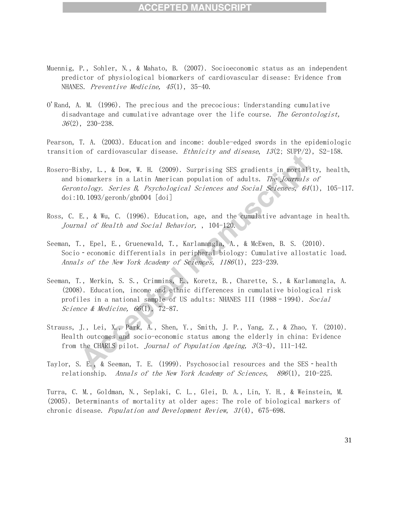- Muennig, P., Sohler, N., & Mahato, B. (2007). Socioeconomic status as an independent predictor of physiological biomarkers of cardiovascular disease: Evidence from NHANES. *Preventive Medicine*, 45(1), 35-40.
- O'Rand, A. M. (1996). The precious and the precocious: Understanding cumulative disadvantage and cumulative advantage over the life course. The Gerontologist,  $36(2)$ , 230-238.

Pearson, T. A. (2003). Education and income: double-edged swords in the epidemiologic transition of cardiovascular disease. Ethnicity and disease,  $13(2; \text{SUPP}/2)$ , S2-158.

- Rosero-Bixby, L., & Dow, W. H. (2009). Surprising SES gradients in mortality, health, and biomarkers in a Latin American population of adults. The Journals of Gerontology. Series B, Psychological Sciences and Social Sciences, 64(1), 105-117. doi:10.1093/geronb/gbn004 [doi]
- Ross, C. E., & Wu, C. (1996). Education, age, and the cumulative advantage in health. Journal of Health and Social Behavior, , 104-120.
- Seeman, T., Epel, E., Gruenewald, T., Karlamangla, A., & McEwen, B. S. (2010). Socio‐economic differentials in peripheral biology: Cumulative allostatic load. Annals of the New York Academy of Sciences, 1186(1), 223-239.
- Seeman, T., Merkin, S. S., Crimmins, E., Koretz, B., Charette, S., & Karlamangla, A. (2008). Education, income and ethnic differences in cumulative biological risk profiles in a national sample of US adults: NHANES III (1988-1994). Social Science & Medicine, 66(1), 72-87.
- Strauss, J., Lei, X., Park, A., Shen, Y., Smith, J. P., Yang, Z., & Zhao, Y. (2010). Health outcomes and socio-economic status among the elderly in china: Evidence from the CHARLS pilot. *Journal of Population Ageing*,  $3(3-4)$ , 111-142.
- Taylor, S. E., & Seeman, T. E. (1999). Psychosocial resources and the SES‐health relationship. Annals of the New York Academy of Sciences, <sup>896</sup>(1), 210-225.

Turra, C. M., Goldman, N., Seplaki, C. L., Glei, D. A., Lin, Y. H., & Weinstein, M. (2005). Determinants of mortality at older ages: The role of biological markers of chronic disease. Population and Development Review, 31(4), 675-698.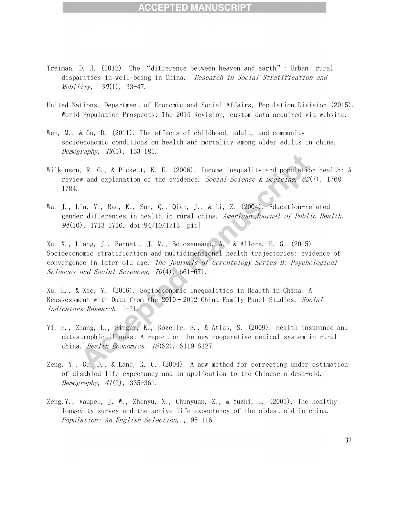- Treiman, D. J. (2012). The "difference between heaven and earth": Urban–rural disparities in well-being in China. Research in Social Stratification and  $M \omega$ bility,  $30(1)$ , 33-47.
- United Nations, Department of Economic and Social Affairs, Population Division (2015). World Population Prospects: The 2015 Revision, custom data acquired via website.
- Wen, M., & Gu, D. (2011). The effects of childhood, adult, and community socioeconomic conditions on health and mortality among older adults in china. Demography,  $48(1)$ , 153-181.
- Wilkinson, R. G., & Pickett, K. E. (2006). Income inequality and population health: A review and explanation of the evidence. Social Science & Medicine, 62(7), 1768-1784.
- Wu, J., Liu, Y., Rao, K., Sun, Q., Qian, J., & Li, Z. (2004). Education-related gender differences in health in rural china. American Journal of Public Health, <sup>94</sup>(10), 1713-1716. doi:94/10/1713 [pii]

Xu, X., Liang, J., Bennett, J. M., Botoseneanu, A., & Allore, H. G. (2015). Socioeconomic stratification and multidimensional health trajectories: evidence of convergence in later old age. The Journals of Gerontology Series B: Psychological Sciences and Social Sciences, 70(4), 661-671.

Xu, H., & Xie, Y. (2016). Socioeconomic Inequalities in Health in China: A Reassessment with Data from the 2010–2012 China Family Panel Studies. Social Indicators Research, 1-21.

- Yi, H., Zhang, L., Singer, K., Rozelle, S., & Atlas, S. (2009). Health insurance and catastrophic illness: A report on the new cooperative medical system in rural china. Health Economics,  $18(S2)$ , S119-S127.
- Zeng, Y., Gu, D., & Land, K. C. (2004). A new method for correcting under-estimation of disabled life expectancy and an application to the Chinese oldest-old. Demography,  $41(2)$ ,  $335-361$ .
- Zeng,Y., Vaupel, J. W., Zhenyu, X., Chunyuan, Z., & Yuzhi, L. (2001). The healthy longevity survey and the active life expectancy of the oldest old in china. Population: An English Selection, , 95-116.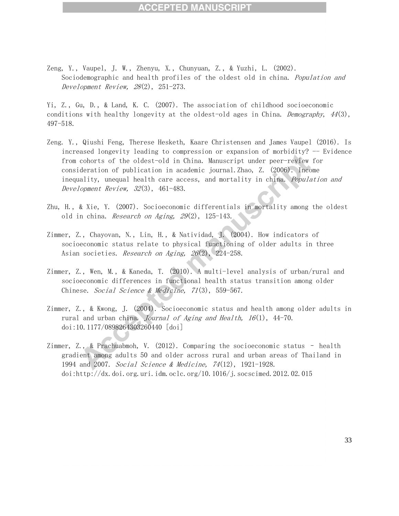Zeng, Y., Vaupel, J. W., Zhenyu, X., Chunyuan, Z., & Yuzhi, L. (2002). Sociodemographic and health profiles of the oldest old in china. *Population and* Development Review, 28(2), 251-273.

Yi, Z., Gu, D., & Land, K. C. (2007). The association of childhood socioeconomic conditions with healthy longevity at the oldest-old ages in China. Demography,  $44(3)$ , 497-518.

- Zeng. Y., Qiushi Feng, Therese Hesketh, Kaare Christensen and James Vaupel (2016). Is increased longevity leading to compression or expansion of morbidity?  $-$  Evidence from cohorts of the oldest-old in China. Manuscript under peer-review for consideration of publication in academic journal.Zhao, Z. (2006). Income inequality, unequal health care access, and mortality in china. *Population and* Development Review, 32(3), 461-483.
- Zhu, H., & Xie, Y. (2007). Socioeconomic differentials in mortality among the oldest old in china. Research on Aging,  $29(2)$ , 125-143.
- Zimmer, Z., Chayovan, N., Lin, H., & Natividad, J. (2004). How indicators of socioeconomic status relate to physical functioning of older adults in three Asian societies. Research on Aging, 26(2), 224-258.
- Zimmer, Z., Wen, M., & Kaneda, T. (2010). A multi-level analysis of urban/rural and socioeconomic differences in functional health status transition among older Chinese. Social Science & Medicine, 71(3), 559-567.
- Zimmer, Z., & Kwong, J. (2004). Socioeconomic status and health among older adults in rural and urban china. Journal of Aging and Health, 16(1), 44-70. doi:10.1177/0898264303260440 [doi]
- Zimmer, Z., & Prachuabmoh, V. (2012). Comparing the socioeconomic status health gradient among adults 50 and older across rural and urban areas of Thailand in 1994 and 2007. Social Science & Medicine, 74(12), 1921-1928. doi:http://dx.doi.org.uri.idm.oclc.org/10.1016/j.socscimed.2012.02.015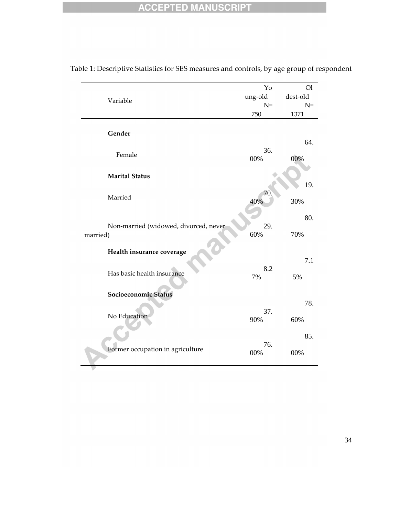|                                       | Yo      | <b>Ol</b> |
|---------------------------------------|---------|-----------|
| Variable                              | ung-old | dest-old  |
|                                       | $N =$   | $N =$     |
|                                       | 750     | 1371      |
|                                       |         |           |
| Gender                                |         |           |
|                                       |         | 64.       |
| Female                                | 36.     |           |
|                                       | 00%     | 00%       |
|                                       |         |           |
| <b>Marital Status</b>                 |         | 19.       |
|                                       |         |           |
| Married                               | 40%     | 30%       |
|                                       |         |           |
|                                       |         | 80.       |
| Non-married (widowed, divorced, never | 29.     |           |
| married)                              | 60%     | 70%       |
|                                       |         |           |
| Health insurance coverage             |         |           |
|                                       | 8.2     | 7.1       |
| Has basic health insurance            | 7%      | 5%        |
|                                       |         |           |
| Socioeconomic Status                  |         |           |
|                                       |         | 78.       |
|                                       | 37.     |           |
| No Education                          | 90%     | 60%       |
|                                       |         |           |
|                                       |         | 85.       |
| Former occupation in agriculture      | 76.     |           |
|                                       | 00%     | 00%       |
|                                       |         |           |

## Table 1: Descriptive Statistics for SES measures and controls, by age group of respondent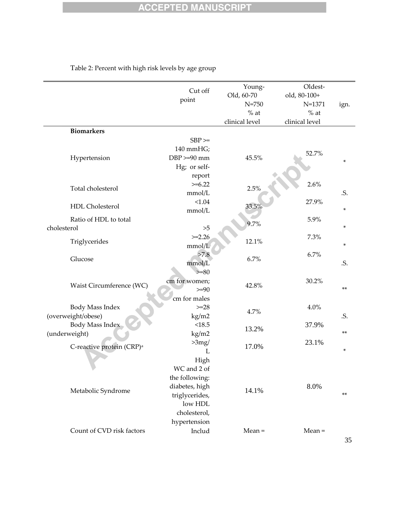|                                       | Cut off             | Young-         | Oldest-        |       |
|---------------------------------------|---------------------|----------------|----------------|-------|
|                                       | point               | Old, 60-70     | old, 80-100+   |       |
|                                       |                     | $N = 750$      | $N = 1371$     | ign.  |
|                                       |                     | $%$ at         | $%$ at         |       |
|                                       |                     | clinical level | clinical level |       |
| <b>Biomarkers</b>                     |                     |                |                |       |
|                                       | $SBP$ >=            |                |                |       |
|                                       | 140 mmHG;           |                |                |       |
| Hypertension                          | $DBP \geq 90$ mm    | 45.5%          | 52.7%          | ×.    |
|                                       | Hg; or self-        |                |                |       |
|                                       | report              |                |                |       |
|                                       | $>= 6.22$           |                | 2.6%           |       |
| Total cholesterol                     | mmol/L              | 2.5%           |                | .S.   |
|                                       | < 1.04              |                | 27.9%          |       |
| HDL Cholesterol                       | mmol/L              | 33.5%          |                | ×     |
| Ratio of HDL to total                 |                     |                | 5.9%           |       |
| cholesterol                           | $>5$                | 9.7%           |                | ×.    |
|                                       | $>=2.26$            |                | 7.3%           |       |
| Triglycerides                         | mmol/L              | 12.1%          |                | ×.    |
|                                       | >7.8                |                | 6.7%           |       |
| Glucose                               | mmol/L              | 6.7%           |                | .S.   |
|                                       | $>= 80$             |                |                |       |
|                                       | cm for women;       |                | 30.2%          |       |
| Waist Circumference (WC)              | $>=90$              | 42.8%          |                | $***$ |
|                                       | cm for males        |                |                |       |
| Body Mass Index                       | $>=28$              |                | 4.0%           |       |
| (overweight/obese)                    | kg/m2               | 4.7%           |                | .S.   |
| Body Mass Index                       | < 18.5              |                | 37.9%          |       |
| (underweight)                         | kg/m2               | 13.2%          |                | $***$ |
|                                       | >3mg/               |                | 23.1%          |       |
| C-reactive protein (CRP) <sup>a</sup> | L                   | 17.0%          |                | ×     |
|                                       |                     |                |                |       |
|                                       | High<br>WC and 2 of |                |                |       |
|                                       |                     |                |                |       |
|                                       | the following:      |                | 8.0%           |       |
| Metabolic Syndrome                    | diabetes, high      | 14.1%          |                | $**$  |
|                                       | triglycerides,      |                |                |       |
|                                       | low HDL             |                |                |       |
|                                       | cholesterol,        |                |                |       |
|                                       | hypertension        |                |                |       |
| Count of CVD risk factors             | Includ              | $Mean =$       | $Mean =$       |       |
|                                       |                     |                |                |       |

Table 2: Percent with high risk levels by age group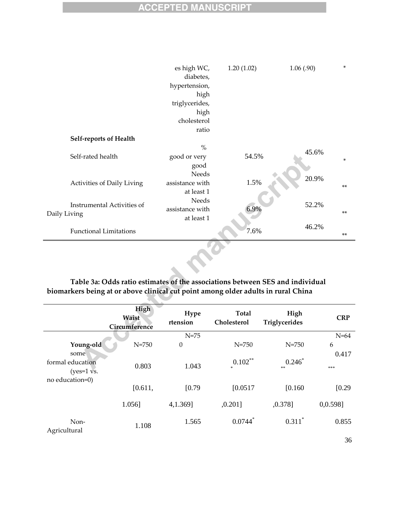|              |                               | es high WC,     | 1.20(1.02) | 1.06(0.90) | ×     |
|--------------|-------------------------------|-----------------|------------|------------|-------|
|              |                               | diabetes,       |            |            |       |
|              |                               | hypertension,   |            |            |       |
|              |                               | high            |            |            |       |
|              |                               | triglycerides,  |            |            |       |
|              |                               | high            |            |            |       |
|              |                               | cholesterol     |            |            |       |
|              |                               | ratio           |            |            |       |
|              | Self-reports of Health        |                 |            |            |       |
|              |                               | $\%$            |            | 45.6%      |       |
|              | Self-rated health             | good or very    | 54.5%      |            | ×     |
|              |                               | good            |            |            |       |
|              |                               | Needs           |            | 20.9%      |       |
|              | Activities of Daily Living    | assistance with | 1.5%       |            | $***$ |
|              |                               | at least 1      |            |            |       |
|              | Instrumental Activities of    | Needs           |            | 52.2%      |       |
|              |                               | assistance with | 6.9%       |            | $***$ |
| Daily Living |                               | at least 1      |            |            |       |
|              | <b>Functional Limitations</b> |                 | 7.6%       | 46.2%      |       |
|              |                               |                 |            |            | $**$  |
|              |                               |                 |            |            |       |

**Table 3a: Odds ratio estimates of the associations between SES and individual biomarkers being at or above clinical cut point among older adults in rural China** 

|                                                             | High<br>Waist<br>Circumference | Hype<br>rtension | <b>Total</b><br>Cholesterol      | High<br>Triglycerides      | <b>CRP</b>             |
|-------------------------------------------------------------|--------------------------------|------------------|----------------------------------|----------------------------|------------------------|
|                                                             |                                | $N=75$           |                                  |                            | $N=64$                 |
| Young-old                                                   | $N = 750$                      | $\boldsymbol{0}$ | $N = 750$                        | $N = 750$                  | 6                      |
| some<br>formal education<br>$(yes=1 vs.$<br>no education=0) | 0.803<br>[0.611,               | 1.043<br>[0.79]  | $0.102***$<br>$\ast$<br>[0.0517] | $0.246^*$<br>**<br>[0.160] | 0.417<br>***<br>[0.29] |
|                                                             | 1.056]                         | 4,1.369]         | $, 0.201$ ]                      | , 0.378]                   | 0,0.5981               |
| Non-<br>Agricultural                                        | 1.108                          | 1.565            | $0.0744*$                        | $0.311$ <sup>*</sup>       | 0.855                  |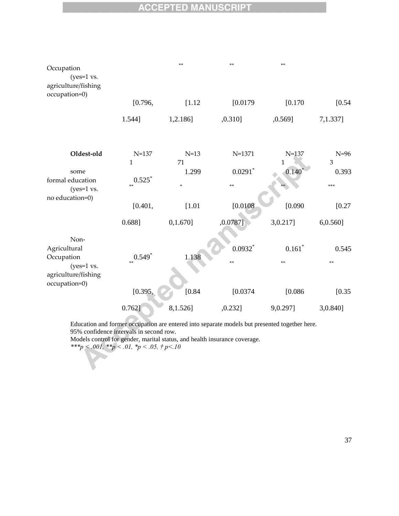| Occupation<br>$(yes=1 vs.$<br>agriculture/fishing                         |                                           | $* *$                 | $* *$                  | **                |                   |
|---------------------------------------------------------------------------|-------------------------------------------|-----------------------|------------------------|-------------------|-------------------|
| occupation=0)                                                             | [0.796,                                   | [1.12]                | [0.0179]               | [0.170]           | [0.54]            |
|                                                                           | 1.544]                                    | 1,2.186]              | , 0.310]               | , 0.569]          | 7,1.337]          |
| Oldest-old                                                                | $N = 137$                                 | $N=13$                | $N = 1371$             | $N = 137$         | $N=96$            |
| some<br>formal education<br>$(yes=1 vs.$                                  | $\mathbf{1}$<br>$_{**}0.525$ <sup>*</sup> | 71<br>1.299<br>$\ast$ | $0.0291$ *<br>**       | 1<br>0.140        | 3<br>0.393<br>*** |
| no education=0)                                                           | [0.401,                                   | $[1.01]$              | [0.0108]               | [0.090]           | [0.27]            |
|                                                                           | 0.688]                                    | 0,1.670]              | ,0.0787]               | 3,0.217]          | 6,0.560]          |
| Non-<br>Agricultural<br>Occupation<br>$(yes=1 vs.$<br>agriculture/fishing | $0.549$ <sup>*</sup>                      | 1.138                 | $0.0932$ *<br>$\pm\pm$ | $0.161$ *<br>$**$ | 0.545<br>**       |
| occupation=0)                                                             | [0.395,                                   | [0.84]                | [0.0374]               | [0.086]           | [0.35]            |
|                                                                           | 0.762]                                    | 8,1.526]              | , 0.232]               | 9,0.297]          | 3,0.840]          |

Education and former occupation are entered into separate models but presented together here. 95% confidence intervals in second row.

Models control for gender, marital status, and health insurance coverage.

*\*\*\*p < .001, \*\*p < .01, \*p < .05, † p<.10*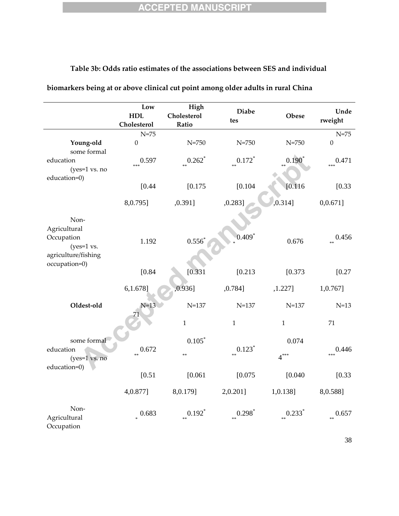## **Table 3b: Odds ratio estimates of the associations between SES and individual**

## **biomarkers being at or above clinical cut point among older adults in rural China**

|                                                                                            | Low<br><b>HDL</b><br>Cholesterol | High<br>Cholesterol<br>Ratio | Diabe<br>tes              | Obese                     | Unde<br>rweight              |
|--------------------------------------------------------------------------------------------|----------------------------------|------------------------------|---------------------------|---------------------------|------------------------------|
| Young-old<br>some formal                                                                   | $N=75$<br>$\boldsymbol{0}$       | $N = 750$                    | $N = 750$                 | $N = 750$                 | $N = 75$<br>$\boldsymbol{0}$ |
| education<br>$(yes=1$ vs. no                                                               | 0.597<br>***                     | $0.262$ <sup>*</sup>         | $0.172*$<br>$**$          | $0.190^{3}$<br>**         | 0.471<br>***                 |
| education=0)                                                                               | [0.44]                           | [0.175]                      | [0.104]                   | [0.116]                   | [0.33]                       |
|                                                                                            | 8,0.795]                         | ,0.391]                      | , 0.283]                  | , 0.314]                  | 0,0.671]                     |
| Non-<br>Agricultural<br>Occupation<br>$(yes=1 vs.$<br>agriculture/fishing<br>occupation=0) | 1.192                            | $0.556*$                     | $0.409*$                  | 0.676                     | 0.456                        |
|                                                                                            | [0.84]                           | [0.331]                      | [0.213]                   | [0.373]                   | [0.27]                       |
|                                                                                            | 6,1.678]                         | , 0.936]                     | , 0.784]                  | , 1.227]                  | 1,0.767]                     |
| Oldest-old                                                                                 | $N=13$                           | $N = 137$                    | $N=137$                   | $N=137$                   | $N=13$                       |
|                                                                                            | 71                               | $\mathbf{1}$                 | $\mathbf{1}$              | $\mathbf{1}$              | 71                           |
| some formal<br>education<br>$(yes=1 vs. no$                                                | 0.672                            | $0.105*$<br>**               | $0.123*$                  | 0.074<br>$4***$           | 0.446                        |
| education=0)                                                                               | $[0.51]$                         | [0.061]                      | [0.075]                   | [0.040]                   | [0.33]                       |
|                                                                                            | 4,0.877]                         | 8,0.179]                     | 2,0.201]                  | 1,0.138]                  | 8,0.588]                     |
| Non-<br>Agricultural<br>Occupation                                                         | 0.683                            | $_{**}0.192*$                | $_{**}0.298$ <sup>*</sup> | $_{**}0.233$ <sup>*</sup> | 0.657                        |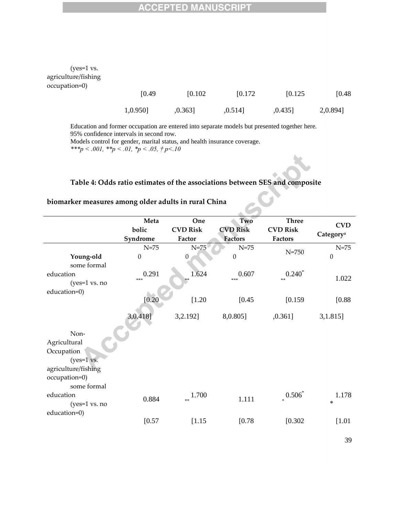(yes=1 vs. agriculture/fishing occupation=0)

| [0.49]   | [0.102]  | [0.172]  | [0.125] | [0.48]   |
|----------|----------|----------|---------|----------|
| 1,0.950] | , 0.363] | , 0.514] | ,0.435] | 2,0.894] |

Education and former occupation are entered into separate models but presented together here. 95% confidence intervals in second row.

Models control for gender, marital status, and health insurance coverage. *\*\*\*p < .001, \*\*p < .01, \*p < .05, † p<.10*

#### **Table 4: Odds ratio estimates of the associations between SES and composite**

## **biomarker measures among older adults in rural China**

|                     | Meta             | One             | Two              | <b>Three</b>    | <b>CVD</b>            |
|---------------------|------------------|-----------------|------------------|-----------------|-----------------------|
|                     | bolic            | <b>CVD Risk</b> | <b>CVD Risk</b>  | <b>CVD Risk</b> | Category <sup>a</sup> |
|                     | Syndrome         | Factor          | <b>Factors</b>   | Factors         |                       |
|                     | $N=75$           | $N = 75$        | $N=75$           | $N = 750$       | $N=75$                |
| Young-old           | $\boldsymbol{0}$ | 0               | $\boldsymbol{0}$ |                 | $\boldsymbol{0}$      |
| some formal         |                  |                 |                  |                 |                       |
| education           | 0.291            | 1.624           | 0.607            | $0.240*$        | 1.022                 |
| $(yes=1$ vs. no     | ***              | 柴米              | ***              | $**$            |                       |
| education=0)        |                  |                 |                  |                 |                       |
|                     | $[0.20]$         | [1.20]          | [0.45]           | [0.159]         | [0.88]                |
|                     |                  |                 |                  |                 |                       |
|                     | 3,0.418]         | 3,2.192]        | 8,0.805]         | , 0.361]        | 3,1.815               |
|                     |                  |                 |                  |                 |                       |
| Non-                |                  |                 |                  |                 |                       |
| Agricultural        |                  |                 |                  |                 |                       |
| Occupation          |                  |                 |                  |                 |                       |
| $(yes=1 vs.$        |                  |                 |                  |                 |                       |
| agriculture/fishing |                  |                 |                  |                 |                       |
| occupation=0)       |                  |                 |                  |                 |                       |
| some formal         |                  |                 |                  |                 |                       |
| education           | 0.884            | 1.700<br>$**$   | 1.111            | $0.506*$        | 1.178                 |
| $(yes=1$ vs. no     |                  |                 |                  |                 | $\ast$                |
| education=0)        |                  |                 |                  |                 |                       |
|                     | [0.57]           | [1.15]          | [0.78]           | [0.302]         | $[1.01]$              |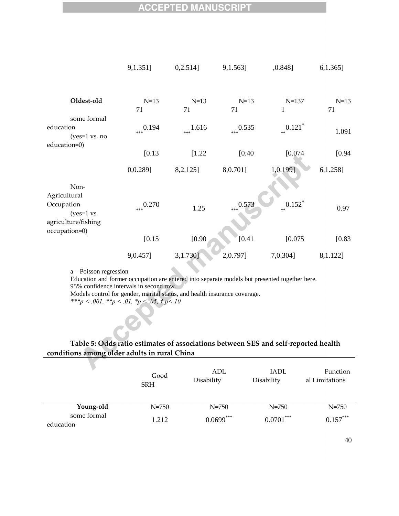|                                                                                            | 9,1.351]     | 0,2.514]     | 9,1.563]       | , 0.848]                     | $6,1.365$ ]  |
|--------------------------------------------------------------------------------------------|--------------|--------------|----------------|------------------------------|--------------|
| Oldest-old                                                                                 | $N=13$<br>71 | $N=13$<br>71 | $N=13$<br>71   | $N = 137$<br>$\mathbf{1}$    | $N=13$<br>71 |
| some formal<br>education<br>$(yes=1$ vs. no                                                | 0.194<br>*** | 1.616<br>*** | 0.535<br>$***$ | $0.121$ <sup>*</sup><br>$**$ | 1.091        |
| education=0)                                                                               | [0.13]       | [1.22]       | [0.40]         | [0.074]                      | [0.94]       |
|                                                                                            | 0,0.289]     | 8,2.125]     | 8,0.701]       | 1,0.199]                     | 6,1.258]     |
| Non-<br>Agricultural<br>Occupation<br>$(yes=1 vs.$<br>agriculture/fishing<br>occupation=0) | 0.270<br>*** | 1.25         | 0.573<br>$***$ | $0.152*$<br>$**$             | 0.97         |
|                                                                                            | [0.15]       | $[0.90]$     | [0.41]         | [0.075]                      | [0.83]       |
|                                                                                            | 9,0.457]     | 3,1.730]     | 2,0.797]       | 7,0.304]                     | 8,1.122]     |

a – Poisson regression

Education and former occupation are entered into separate models but presented together here. 95% confidence intervals in second row.

Models control for gender, marital status, and health insurance coverage.

*\*\*\*p < .001, \*\*p < .01, \*p < .05, † p<.10*

## **Table 5: Odds ratio estimates of associations between SES and self-reported health conditions among older adults in rural China**

|             | Good<br><b>SRH</b> | ADL<br>Disability | <b>IADL</b><br>Disability | Function<br>al Limitations |
|-------------|--------------------|-------------------|---------------------------|----------------------------|
| Young-old   | $N = 750$          | $N = 750$         | $N = 750$                 | $N = 750$                  |
| some formal | 1.212              | $0.0699***$       | $0.0701***$               | $0.157***$                 |
| education   |                    |                   |                           |                            |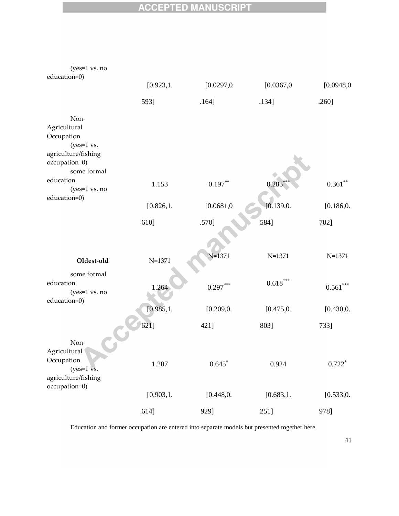| $(yes=1$ vs. no                                                                            |                |             |                          |                      |
|--------------------------------------------------------------------------------------------|----------------|-------------|--------------------------|----------------------|
| education=0)                                                                               | [0.923, 1.     | [0.0297, 0] | [0.0367, 0]              | [0.0948, 0]          |
|                                                                                            | 593]           | .164]       | .134]                    | .260]                |
| Non-<br>Agricultural<br>Occupation<br>$(yes=1 vs.$<br>agriculture/fishing<br>occupation=0) |                |             |                          |                      |
| some formal<br>education<br>$(yes=1$ vs. no                                                | 1.153          | $0.197**$   | 0.285                    | $0.361**$            |
| education=0)                                                                               | $[0.826, 1]$ . | [0.0681, 0] | [0.139, 0.               | [0.186, 0.           |
|                                                                                            | 610]           | .570]       | 584]                     | 702]                 |
| Oldest-old<br>some formal<br>education                                                     | $N = 1371$     | $N = 1371$  | $N = 1371$<br>$0.618***$ | $N = 1371$           |
| $(yes=1$ vs. no                                                                            | 1.264          | $0.297***$  |                          | $0.561***$           |
| education=0)                                                                               | [0.985, 1.     | [0.209, 0.  | [0.475, 0.               | [0.430, 0.           |
| -50                                                                                        | 621]           | 4211        | 803]                     | 733]                 |
| Non-<br>Agricultural<br>Occupation<br>$(yes=1 vs.$<br>agriculture/fishing<br>occupation=0) | 1.207          | $0.645*$    | 0.924                    | $0.722$ <sup>*</sup> |
|                                                                                            | [0.903, 1.     | [0.448, 0.  | [0.683, 1.               | [0.533, 0.           |
|                                                                                            | 614]           | 929]        | 251]                     | 978]                 |

Education and former occupation are entered into separate models but presented together here.